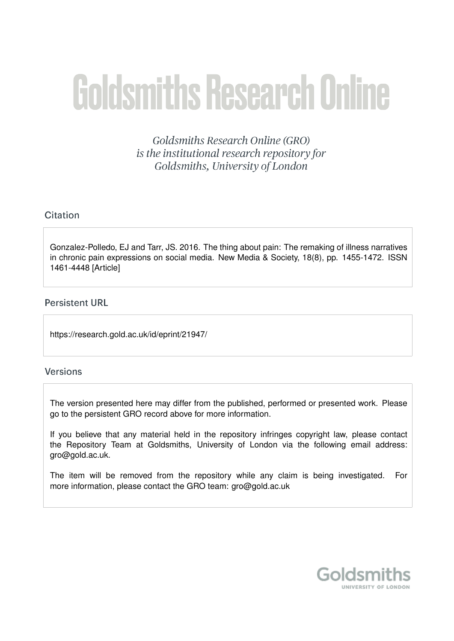# **Goldsmiths Research Online**

Goldsmiths Research Online (GRO) is the institutional research repository for Goldsmiths, University of London

# Citation

Gonzalez-Polledo, EJ and Tarr, JS. 2016. The thing about pain: The remaking of illness narratives in chronic pain expressions on social media. New Media & Society, 18(8), pp. 1455-1472. ISSN 1461-4448 [Article]

# **Persistent URL**

https://research.gold.ac.uk/id/eprint/21947/

# **Versions**

The version presented here may differ from the published, performed or presented work. Please go to the persistent GRO record above for more information.

If you believe that any material held in the repository infringes copyright law, please contact the Repository Team at Goldsmiths, University of London via the following email address: gro@gold.ac.uk.

The item will be removed from the repository while any claim is being investigated. For more information, please contact the GRO team: gro@gold.ac.uk

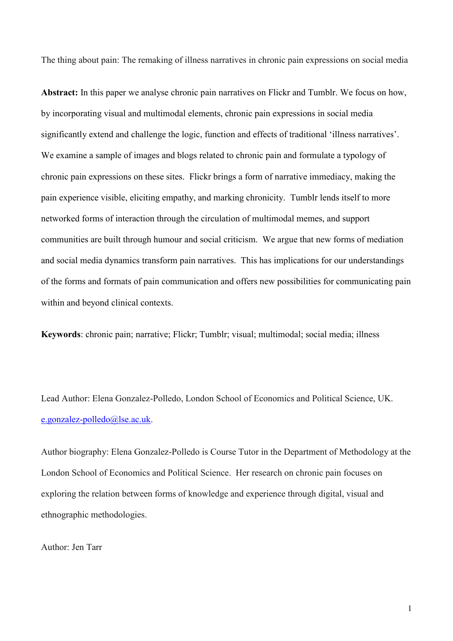The thing about pain: The remaking of illness narratives in chronic pain expressions on social media

**Abstract:** In this paper we analyse chronic pain narratives on Flickr and Tumblr. We focus on how, by incorporating visual and multimodal elements, chronic pain expressions in social media significantly extend and challenge the logic, function and effects of traditional 'illness narratives'. We examine a sample of images and blogs related to chronic pain and formulate a typology of chronic pain expressions on these sites. Flickr brings a form of narrative immediacy, making the pain experience visible, eliciting empathy, and marking chronicity. Tumblr lends itself to more networked forms of interaction through the circulation of multimodal memes, and support communities are built through humour and social criticism. We argue that new forms of mediation and social media dynamics transform pain narratives. This has implications for our understandings of the forms and formats of pain communication and offers new possibilities for communicating pain within and beyond clinical contexts.

**Keywords**: chronic pain; narrative; Flickr; Tumblr; visual; multimodal; social media; illness

Lead Author: Elena Gonzalez-Polledo, London School of Economics and Political Science, UK. [e.gonzalez-polledo@lse.ac.uk.](mailto:e.gonzalez-polledo@lse.ac.uk)

Author biography: Elena Gonzalez-Polledo is Course Tutor in the Department of Methodology at the London School of Economics and Political Science. Her research on chronic pain focuses on exploring the relation between forms of knowledge and experience through digital, visual and ethnographic methodologies.

Author: Jen Tarr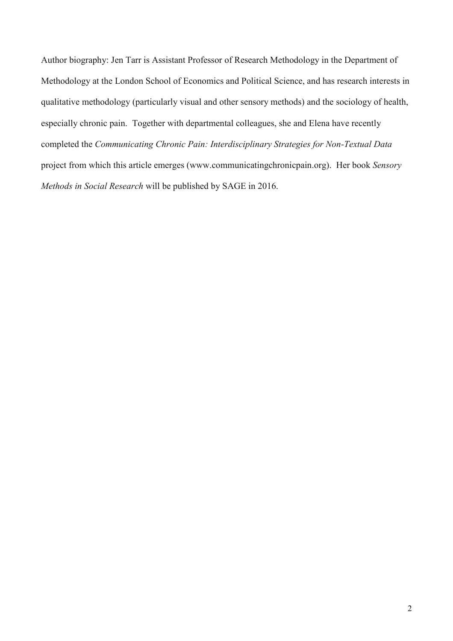Author biography: Jen Tarr is Assistant Professor of Research Methodology in the Department of Methodology at the London School of Economics and Political Science, and has research interests in qualitative methodology (particularly visual and other sensory methods) and the sociology of health, especially chronic pain. Together with departmental colleagues, she and Elena have recently completed the *Communicating Chronic Pain: Interdisciplinary Strategies for Non-Textual Data* project from which this article emerges (www.communicatingchronicpain.org). Her book *Sensory Methods in Social Research* will be published by SAGE in 2016.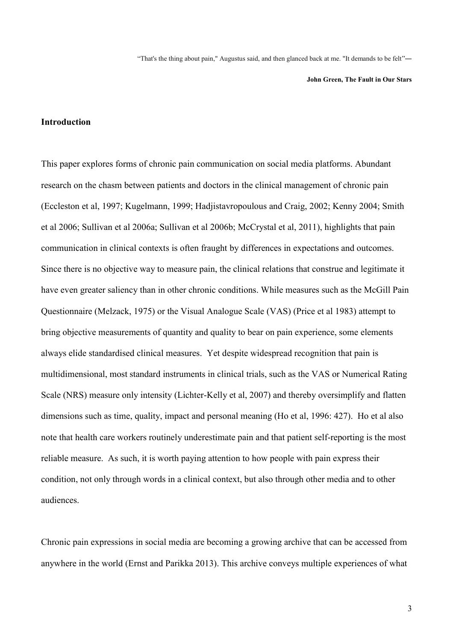"That's the thing about pain," Augustus said, and then glanced back at me. "It demands to be felt"―

**John Green, The Fault in Our Stars**

# **Introduction**

This paper explores forms of chronic pain communication on social media platforms. Abundant research on the chasm between patients and doctors in the clinical management of chronic pain (Eccleston et al, 1997; Kugelmann, 1999; Hadjistavropoulous and Craig, 2002; Kenny 2004; Smith et al 2006; Sullivan et al 2006a; Sullivan et al 2006b; McCrystal et al, 2011), highlights that pain communication in clinical contexts is often fraught by differences in expectations and outcomes. Since there is no objective way to measure pain, the clinical relations that construe and legitimate it have even greater saliency than in other chronic conditions. While measures such as the McGill Pain Questionnaire (Melzack, 1975) or the Visual Analogue Scale (VAS) (Price et al 1983) attempt to bring objective measurements of quantity and quality to bear on pain experience, some elements always elide standardised clinical measures. Yet despite widespread recognition that pain is multidimensional, most standard instruments in clinical trials, such as the VAS or Numerical Rating Scale (NRS) measure only intensity (Lichter-Kelly et al, 2007) and thereby oversimplify and flatten dimensions such as time, quality, impact and personal meaning (Ho et al, 1996: 427). Ho et al also note that health care workers routinely underestimate pain and that patient self-reporting is the most reliable measure. As such, it is worth paying attention to how people with pain express their condition, not only through words in a clinical context, but also through other media and to other audiences.

Chronic pain expressions in social media are becoming a growing archive that can be accessed from anywhere in the world (Ernst and Parikka 2013). This archive conveys multiple experiences of what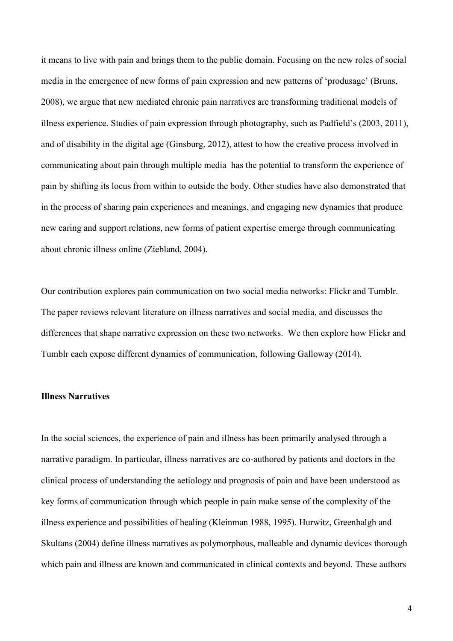it means to live with pain and brings them to the public domain. Focusing on the new roles of social media in the emergence of new forms of pain expression and new patterns of 'produsage' (Bruns, 2008), we argue that new mediated chronic pain narratives are transforming traditional models of illness experience. Studies of pain expression through photography, such as Padfield's (2003, 2011), and of disability in the digital age (Ginsburg, 2012), attest to how the creative process involved in communicating about pain through multiple media has the potential to transform the experience of pain by shifting its locus from within to outside the body. Other studies have also demonstrated that in the process of sharing pain experiences and meanings, and engaging new dynamics that produce new caring and support relations, new forms of patient expertise emerge through communicating about chronic illness online (Ziebland, 2004).

Our contribution explores pain communication on two social media networks: Flickr and Tumblr. The paper reviews relevant literature on illness narratives and social media, and discusses the differences that shape narrative expression on these two networks. We then explore how Flickr and Tumblr each expose different dynamics of communication, following Galloway (2014).

## **Illness Narratives**

In the social sciences, the experience of pain and illness has been primarily analysed through a narrative paradigm. In particular, illness narratives are co-authored by patients and doctors in the clinical process of understanding the aetiology and prognosis of pain and have been understood as key forms of communication through which people in pain make sense of the complexity of the illness experience and possibilities of healing (Kleinman 1988, 1995). Hurwitz, Greenhalgh and Skultans (2004) define illness narratives as polymorphous, malleable and dynamic devices thorough which pain and illness are known and communicated in clinical contexts and beyond. These authors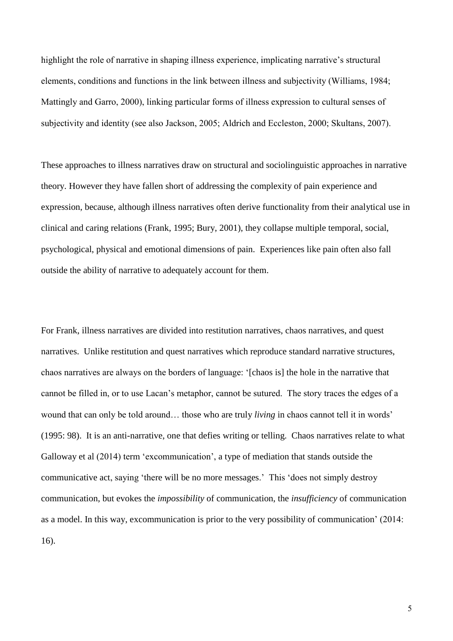highlight the role of narrative in shaping illness experience, implicating narrative's structural elements, conditions and functions in the link between illness and subjectivity (Williams, 1984; Mattingly and Garro, 2000), linking particular forms of illness expression to cultural senses of subjectivity and identity (see also Jackson, 2005; Aldrich and Eccleston, 2000; Skultans, 2007).

These approaches to illness narratives draw on structural and sociolinguistic approaches in narrative theory. However they have fallen short of addressing the complexity of pain experience and expression, because, although illness narratives often derive functionality from their analytical use in clinical and caring relations (Frank, 1995; Bury, 2001), they collapse multiple temporal, social, psychological, physical and emotional dimensions of pain. Experiences like pain often also fall outside the ability of narrative to adequately account for them.

For Frank, illness narratives are divided into restitution narratives, chaos narratives, and quest narratives. Unlike restitution and quest narratives which reproduce standard narrative structures, chaos narratives are always on the borders of language: '[chaos is] the hole in the narrative that cannot be filled in, or to use Lacan's metaphor, cannot be sutured. The story traces the edges of a wound that can only be told around… those who are truly *living* in chaos cannot tell it in words' (1995: 98). It is an anti-narrative, one that defies writing or telling. Chaos narratives relate to what Galloway et al (2014) term 'excommunication', a type of mediation that stands outside the communicative act, saying 'there will be no more messages.' This 'does not simply destroy communication, but evokes the *impossibility* of communication, the *insufficiency* of communication as a model. In this way, excommunication is prior to the very possibility of communication' (2014: 16).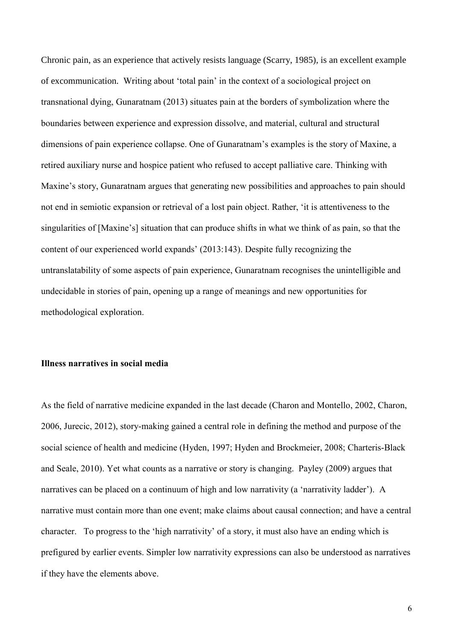Chronic pain, as an experience that actively resists language (Scarry, 1985), is an excellent example of excommunication. Writing about 'total pain' in the context of a sociological project on transnational dying, Gunaratnam (2013) situates pain at the borders of symbolization where the boundaries between experience and expression dissolve, and material, cultural and structural dimensions of pain experience collapse. One of Gunaratnam's examples is the story of Maxine, a retired auxiliary nurse and hospice patient who refused to accept palliative care. Thinking with Maxine's story, Gunaratnam argues that generating new possibilities and approaches to pain should not end in semiotic expansion or retrieval of a lost pain object. Rather, 'it is attentiveness to the singularities of [Maxine's] situation that can produce shifts in what we think of as pain, so that the content of our experienced world expands' (2013:143). Despite fully recognizing the untranslatability of some aspects of pain experience, Gunaratnam recognises the unintelligible and undecidable in stories of pain, opening up a range of meanings and new opportunities for methodological exploration.

## **Illness narratives in social media**

As the field of narrative medicine expanded in the last decade (Charon and Montello, 2002, Charon, 2006, Jurecic, 2012), story-making gained a central role in defining the method and purpose of the social science of health and medicine (Hyden, 1997; Hyden and Brockmeier, 2008; Charteris-Black and Seale, 2010). Yet what counts as a narrative or story is changing. Payley (2009) argues that narratives can be placed on a continuum of high and low narrativity (a 'narrativity ladder'). A narrative must contain more than one event; make claims about causal connection; and have a central character. To progress to the 'high narrativity' of a story, it must also have an ending which is prefigured by earlier events. Simpler low narrativity expressions can also be understood as narratives if they have the elements above.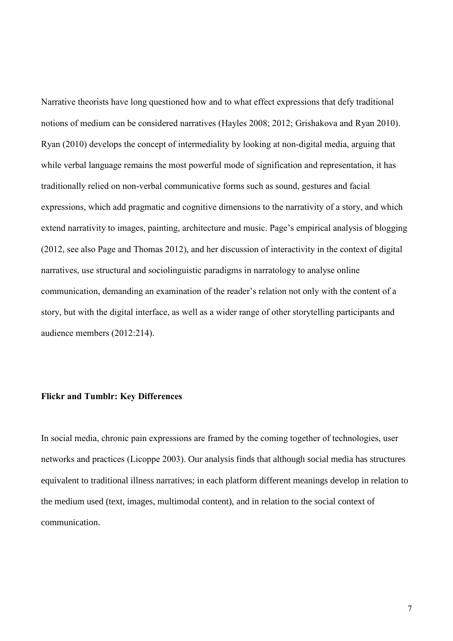Narrative theorists have long questioned how and to what effect expressions that defy traditional notions of medium can be considered narratives (Hayles 2008; 2012; Grishakova and Ryan 2010). Ryan (2010) develops the concept of intermediality by looking at non-digital media, arguing that while verbal language remains the most powerful mode of signification and representation, it has traditionally relied on non-verbal communicative forms such as sound, gestures and facial expressions, which add pragmatic and cognitive dimensions to the narrativity of a story, and which extend narrativity to images, painting, architecture and music. Page's empirical analysis of blogging (2012, see also Page and Thomas 2012), and her discussion of interactivity in the context of digital narratives, use structural and sociolinguistic paradigms in narratology to analyse online communication, demanding an examination of the reader's relation not only with the content of a story, but with the digital interface, as well as a wider range of other storytelling participants and audience members (2012:214).

## **Flickr and Tumblr: Key Differences**

In social media, chronic pain expressions are framed by the coming together of technologies, user networks and practices (Licoppe 2003). Our analysis finds that although social media has structures equivalent to traditional illness narratives; in each platform different meanings develop in relation to the medium used (text, images, multimodal content), and in relation to the social context of communication.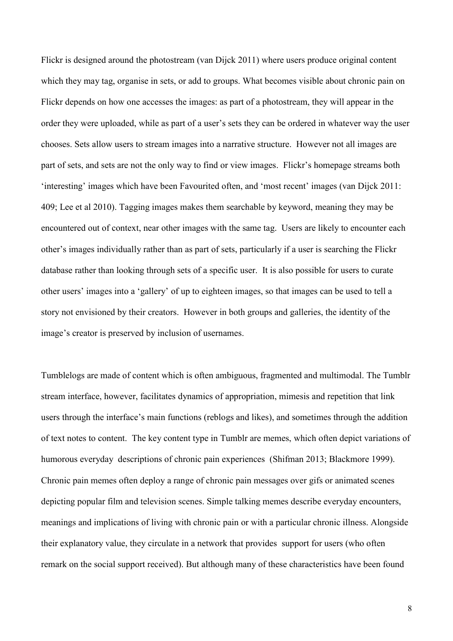Flickr is designed around the photostream (van Dijck 2011) where users produce original content which they may tag, organise in sets, or add to groups. What becomes visible about chronic pain on Flickr depends on how one accesses the images: as part of a photostream, they will appear in the order they were uploaded, while as part of a user's sets they can be ordered in whatever way the user chooses. Sets allow users to stream images into a narrative structure. However not all images are part of sets, and sets are not the only way to find or view images. Flickr's homepage streams both 'interesting' images which have been Favourited often, and 'most recent' images (van Dijck 2011: 409; Lee et al 2010). Tagging images makes them searchable by keyword, meaning they may be encountered out of context, near other images with the same tag. Users are likely to encounter each other's images individually rather than as part of sets, particularly if a user is searching the Flickr database rather than looking through sets of a specific user. It is also possible for users to curate other users' images into a 'gallery' of up to eighteen images, so that images can be used to tell a story not envisioned by their creators. However in both groups and galleries, the identity of the image's creator is preserved by inclusion of usernames.

Tumblelogs are made of content which is often ambiguous, fragmented and multimodal. The Tumblr stream interface, however, facilitates dynamics of appropriation, mimesis and repetition that link users through the interface's main functions (reblogs and likes), and sometimes through the addition of text notes to content. The key content type in Tumblr are memes, which often depict variations of humorous everyday descriptions of chronic pain experiences (Shifman 2013; Blackmore 1999). Chronic pain memes often deploy a range of chronic pain messages over gifs or animated scenes depicting popular film and television scenes. Simple talking memes describe everyday encounters, meanings and implications of living with chronic pain or with a particular chronic illness. Alongside their explanatory value, they circulate in a network that provides support for users (who often remark on the social support received). But although many of these characteristics have been found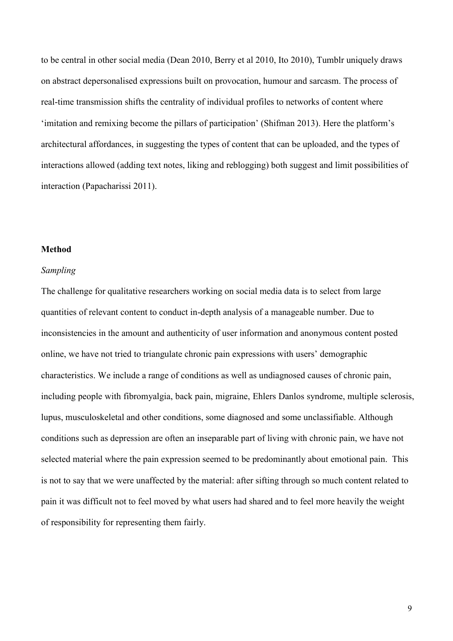to be central in other social media (Dean 2010, Berry et al 2010, Ito 2010), Tumblr uniquely draws on abstract depersonalised expressions built on provocation, humour and sarcasm. The process of real-time transmission shifts the centrality of individual profiles to networks of content where 'imitation and remixing become the pillars of participation' (Shifman 2013). Here the platform's architectural affordances, in suggesting the types of content that can be uploaded, and the types of interactions allowed (adding text notes, liking and reblogging) both suggest and limit possibilities of interaction (Papacharissi 2011).

### **Method**

#### *Sampling*

The challenge for qualitative researchers working on social media data is to select from large quantities of relevant content to conduct in-depth analysis of a manageable number. Due to inconsistencies in the amount and authenticity of user information and anonymous content posted online, we have not tried to triangulate chronic pain expressions with users' demographic characteristics. We include a range of conditions as well as undiagnosed causes of chronic pain, including people with fibromyalgia, back pain, migraine, Ehlers Danlos syndrome, multiple sclerosis, lupus, musculoskeletal and other conditions, some diagnosed and some unclassifiable. Although conditions such as depression are often an inseparable part of living with chronic pain, we have not selected material where the pain expression seemed to be predominantly about emotional pain. This is not to say that we were unaffected by the material: after sifting through so much content related to pain it was difficult not to feel moved by what users had shared and to feel more heavily the weight of responsibility for representing them fairly.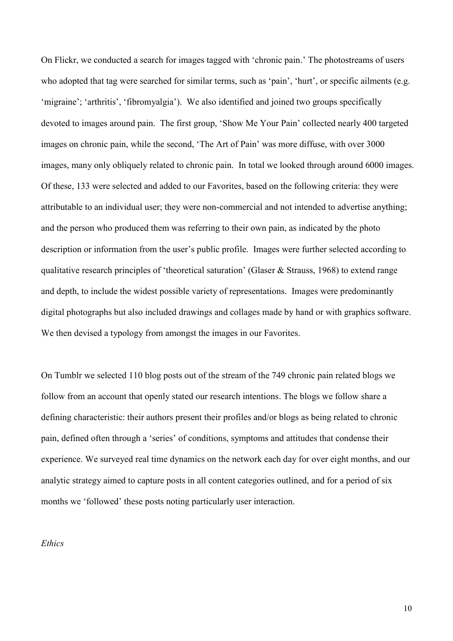On Flickr, we conducted a search for images tagged with 'chronic pain.' The photostreams of users who adopted that tag were searched for similar terms, such as 'pain', 'hurt', or specific ailments (e.g. 'migraine'; 'arthritis', 'fibromyalgia'). We also identified and joined two groups specifically devoted to images around pain. The first group, 'Show Me Your Pain' collected nearly 400 targeted images on chronic pain, while the second, 'The Art of Pain' was more diffuse, with over 3000 images, many only obliquely related to chronic pain. In total we looked through around 6000 images. Of these, 133 were selected and added to our Favorites, based on the following criteria: they were attributable to an individual user; they were non-commercial and not intended to advertise anything; and the person who produced them was referring to their own pain, as indicated by the photo description or information from the user's public profile. Images were further selected according to qualitative research principles of 'theoretical saturation' (Glaser & Strauss, 1968) to extend range and depth, to include the widest possible variety of representations. Images were predominantly digital photographs but also included drawings and collages made by hand or with graphics software. We then devised a typology from amongst the images in our Favorites.

On Tumblr we selected 110 blog posts out of the stream of the 749 chronic pain related blogs we follow from an account that openly stated our research intentions. The blogs we follow share a defining characteristic: their authors present their profiles and/or blogs as being related to chronic pain, defined often through a 'series' of conditions, symptoms and attitudes that condense their experience. We surveyed real time dynamics on the network each day for over eight months, and our analytic strategy aimed to capture posts in all content categories outlined, and for a period of six months we 'followed' these posts noting particularly user interaction.

### *Ethics*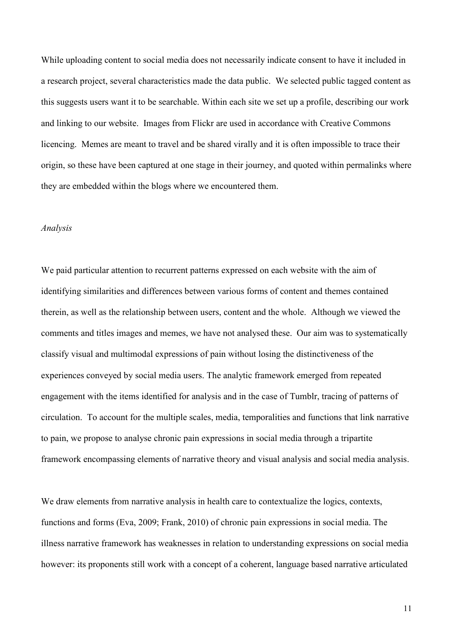While uploading content to social media does not necessarily indicate consent to have it included in a research project, several characteristics made the data public. We selected public tagged content as this suggests users want it to be searchable. Within each site we set up a profile, describing our work and linking to our website. Images from Flickr are used in accordance with Creative Commons licencing. Memes are meant to travel and be shared virally and it is often impossible to trace their origin, so these have been captured at one stage in their journey, and quoted within permalinks where they are embedded within the blogs where we encountered them.

#### *Analysis*

We paid particular attention to recurrent patterns expressed on each website with the aim of identifying similarities and differences between various forms of content and themes contained therein, as well as the relationship between users, content and the whole. Although we viewed the comments and titles images and memes, we have not analysed these. Our aim was to systematically classify visual and multimodal expressions of pain without losing the distinctiveness of the experiences conveyed by social media users. The analytic framework emerged from repeated engagement with the items identified for analysis and in the case of Tumblr, tracing of patterns of circulation. To account for the multiple scales, media, temporalities and functions that link narrative to pain, we propose to analyse chronic pain expressions in social media through a tripartite framework encompassing elements of narrative theory and visual analysis and social media analysis.

We draw elements from narrative analysis in health care to contextualize the logics, contexts, functions and forms (Eva, 2009; Frank, 2010) of chronic pain expressions in social media. The illness narrative framework has weaknesses in relation to understanding expressions on social media however: its proponents still work with a concept of a coherent, language based narrative articulated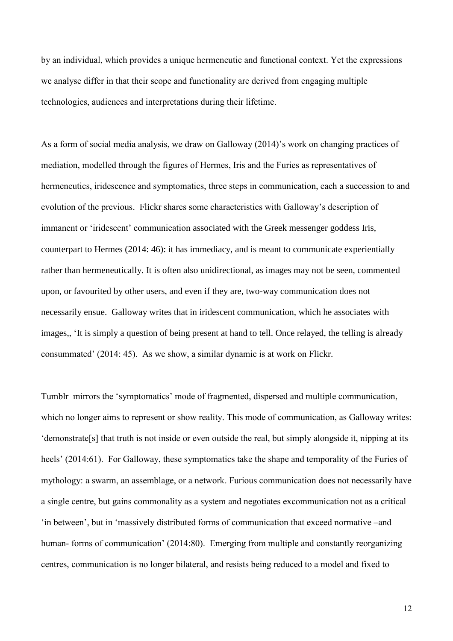by an individual, which provides a unique hermeneutic and functional context. Yet the expressions we analyse differ in that their scope and functionality are derived from engaging multiple technologies, audiences and interpretations during their lifetime.

As a form of social media analysis, we draw on Galloway (2014)'s work on changing practices of mediation, modelled through the figures of Hermes, Iris and the Furies as representatives of hermeneutics, iridescence and symptomatics, three steps in communication, each a succession to and evolution of the previous. Flickr shares some characteristics with Galloway's description of immanent or 'iridescent' communication associated with the Greek messenger goddess Iris, counterpart to Hermes (2014: 46): it has immediacy, and is meant to communicate experientially rather than hermeneutically. It is often also unidirectional, as images may not be seen, commented upon, or favourited by other users, and even if they are, two-way communication does not necessarily ensue. Galloway writes that in iridescent communication, which he associates with images,, 'It is simply a question of being present at hand to tell. Once relayed, the telling is already consummated' (2014: 45). As we show, a similar dynamic is at work on Flickr.

Tumblr mirrors the 'symptomatics' mode of fragmented, dispersed and multiple communication, which no longer aims to represent or show reality. This mode of communication, as Galloway writes: 'demonstrate[s] that truth is not inside or even outside the real, but simply alongside it, nipping at its heels' (2014:61). For Galloway, these symptomatics take the shape and temporality of the Furies of mythology: a swarm, an assemblage, or a network. Furious communication does not necessarily have a single centre, but gains commonality as a system and negotiates excommunication not as a critical 'in between', but in 'massively distributed forms of communication that exceed normative –and human- forms of communication' (2014:80). Emerging from multiple and constantly reorganizing centres, communication is no longer bilateral, and resists being reduced to a model and fixed to

12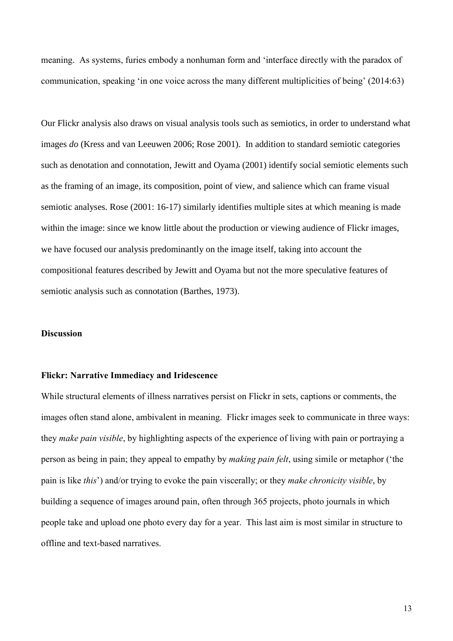meaning. As systems, furies embody a nonhuman form and 'interface directly with the paradox of communication, speaking 'in one voice across the many different multiplicities of being' (2014:63)

Our Flickr analysis also draws on visual analysis tools such as semiotics, in order to understand what images *do* (Kress and van Leeuwen 2006; Rose 2001). In addition to standard semiotic categories such as denotation and connotation, Jewitt and Oyama (2001) identify social semiotic elements such as the framing of an image, its composition, point of view, and salience which can frame visual semiotic analyses. Rose (2001: 16-17) similarly identifies multiple sites at which meaning is made within the image: since we know little about the production or viewing audience of Flickr images, we have focused our analysis predominantly on the image itself, taking into account the compositional features described by Jewitt and Oyama but not the more speculative features of semiotic analysis such as connotation (Barthes, 1973).

#### **Discussion**

#### **Flickr: Narrative Immediacy and Iridescence**

While structural elements of illness narratives persist on Flickr in sets, captions or comments, the images often stand alone, ambivalent in meaning. Flickr images seek to communicate in three ways: they *make pain visible*, by highlighting aspects of the experience of living with pain or portraying a person as being in pain; they appeal to empathy by *making pain felt*, using simile or metaphor ('the pain is like *this*') and/or trying to evoke the pain viscerally; or they *make chronicity visible*, by building a sequence of images around pain, often through 365 projects, photo journals in which people take and upload one photo every day for a year. This last aim is most similar in structure to offline and text-based narratives.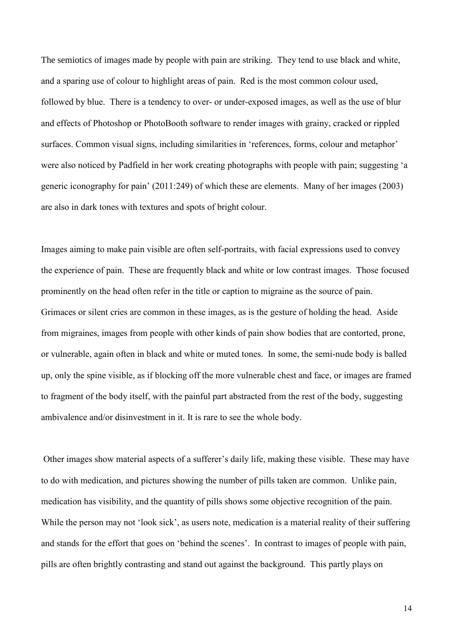The semiotics of images made by people with pain are striking. They tend to use black and white, and a sparing use of colour to highlight areas of pain. Red is the most common colour used, followed by blue. There is a tendency to over- or under-exposed images, as well as the use of blur and effects of Photoshop or PhotoBooth software to render images with grainy, cracked or rippled surfaces. Common visual signs, including similarities in 'references, forms, colour and metaphor' were also noticed by Padfield in her work creating photographs with people with pain; suggesting 'a generic iconography for pain' (2011:249) of which these are elements. Many of her images (2003) are also in dark tones with textures and spots of bright colour.

Images aiming to make pain visible are often self-portraits, with facial expressions used to convey the experience of pain. These are frequently black and white or low contrast images. Those focused prominently on the head often refer in the title or caption to migraine as the source of pain. Grimaces or silent cries are common in these images, as is the gesture of holding the head. Aside from migraines, images from people with other kinds of pain show bodies that are contorted, prone, or vulnerable, again often in black and white or muted tones. In some, the semi-nude body is balled up, only the spine visible, as if blocking off the more vulnerable chest and face, or images are framed to fragment of the body itself, with the painful part abstracted from the rest of the body, suggesting ambivalence and/or disinvestment in it. It is rare to see the whole body.

Other images show material aspects of a sufferer's daily life, making these visible. These may have to do with medication, and pictures showing the number of pills taken are common. Unlike pain, medication has visibility, and the quantity of pills shows some objective recognition of the pain. While the person may not 'look sick', as users note, medication is a material reality of their suffering and stands for the effort that goes on 'behind the scenes'. In contrast to images of people with pain, pills are often brightly contrasting and stand out against the background. This partly plays on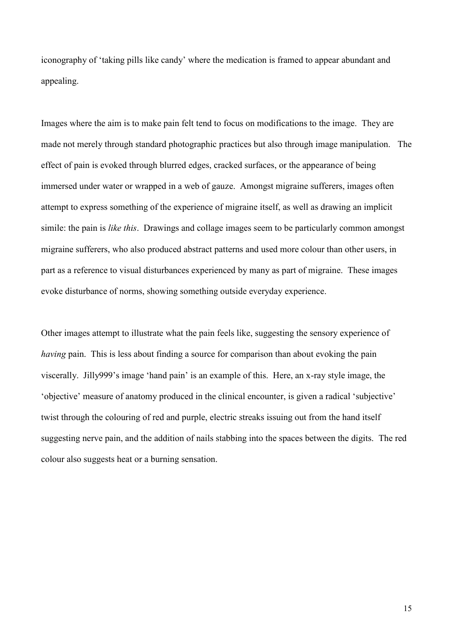iconography of 'taking pills like candy' where the medication is framed to appear abundant and appealing.

Images where the aim is to make pain felt tend to focus on modifications to the image. They are made not merely through standard photographic practices but also through image manipulation. The effect of pain is evoked through blurred edges, cracked surfaces, or the appearance of being immersed under water or wrapped in a web of gauze. Amongst migraine sufferers, images often attempt to express something of the experience of migraine itself, as well as drawing an implicit simile: the pain is *like this*. Drawings and collage images seem to be particularly common amongst migraine sufferers, who also produced abstract patterns and used more colour than other users, in part as a reference to visual disturbances experienced by many as part of migraine. These images evoke disturbance of norms, showing something outside everyday experience.

Other images attempt to illustrate what the pain feels like, suggesting the sensory experience of *having* pain. This is less about finding a source for comparison than about evoking the pain viscerally. Jilly999's image 'hand pain' is an example of this. Here, an x-ray style image, the 'objective' measure of anatomy produced in the clinical encounter, is given a radical 'subjective' twist through the colouring of red and purple, electric streaks issuing out from the hand itself suggesting nerve pain, and the addition of nails stabbing into the spaces between the digits. The red colour also suggests heat or a burning sensation.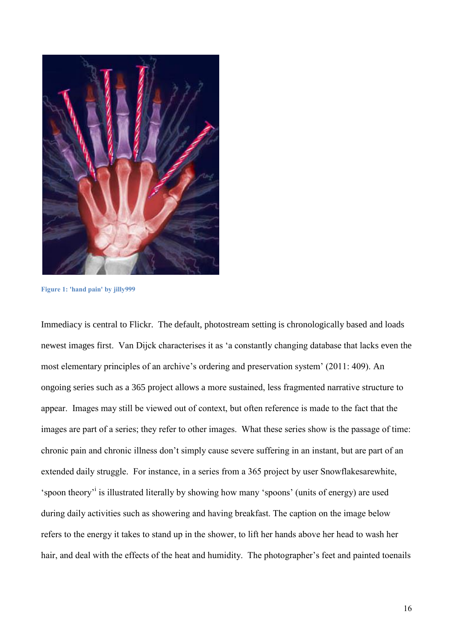

**Figure 1: 'hand pain' by jilly999** 

Immediacy is central to Flickr. The default, photostream setting is chronologically based and loads newest images first. Van Dijck characterises it as 'a constantly changing database that lacks even the most elementary principles of an archive's ordering and preservation system' (2011: 409). An ongoing series such as a 365 project allows a more sustained, less fragmented narrative structure to appear. Images may still be viewed out of context, but often reference is made to the fact that the images are part of a series; they refer to other images. What these series show is the passage of time: chronic pain and chronic illness don't simply cause severe suffering in an instant, but are part of an extended daily struggle. For instance, in a series from a 365 project by user Snowflakesarewhite, 'spoon theory<sup>'</sup> is illustrated literally by showing how many 'spoons' (units of energy) are used during daily activities such as showering and having breakfast. The caption on the image below refers to the energy it takes to stand up in the shower, to lift her hands above her head to wash her hair, and deal with the effects of the heat and humidity. The photographer's feet and painted toenails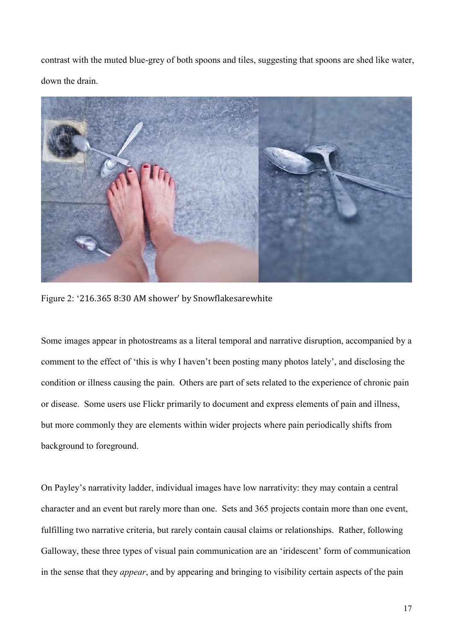contrast with the muted blue-grey of both spoons and tiles, suggesting that spoons are shed like water, down the drain.



Figure 2: '216.365 8:30 AM shower' by Snowflakesarewhite

Some images appear in photostreams as a literal temporal and narrative disruption, accompanied by a comment to the effect of 'this is why I haven't been posting many photos lately', and disclosing the condition or illness causing the pain. Others are part of sets related to the experience of chronic pain or disease. Some users use Flickr primarily to document and express elements of pain and illness, but more commonly they are elements within wider projects where pain periodically shifts from background to foreground.

On Payley's narrativity ladder, individual images have low narrativity: they may contain a central character and an event but rarely more than one. Sets and 365 projects contain more than one event, fulfilling two narrative criteria, but rarely contain causal claims or relationships. Rather, following Galloway, these three types of visual pain communication are an 'iridescent' form of communication in the sense that they *appear*, and by appearing and bringing to visibility certain aspects of the pain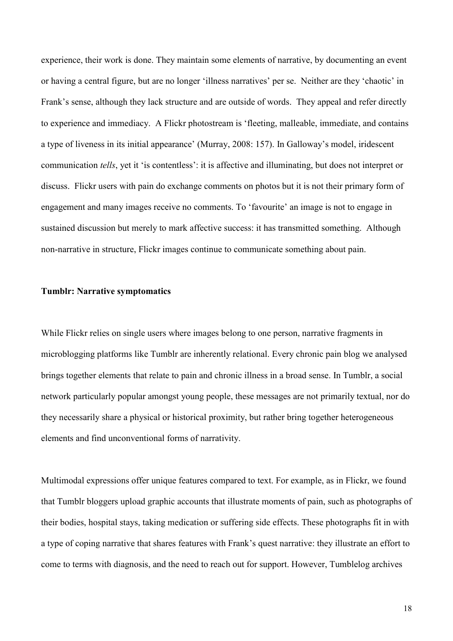experience, their work is done. They maintain some elements of narrative, by documenting an event or having a central figure, but are no longer 'illness narratives' per se. Neither are they 'chaotic' in Frank's sense, although they lack structure and are outside of words. They appeal and refer directly to experience and immediacy. A Flickr photostream is 'fleeting, malleable, immediate, and contains a type of liveness in its initial appearance' (Murray, 2008: 157). In Galloway's model, iridescent communication *tells*, yet it 'is contentless': it is affective and illuminating, but does not interpret or discuss. Flickr users with pain do exchange comments on photos but it is not their primary form of engagement and many images receive no comments. To 'favourite' an image is not to engage in sustained discussion but merely to mark affective success: it has transmitted something. Although non-narrative in structure, Flickr images continue to communicate something about pain.

#### **Tumblr: Narrative symptomatics**

While Flickr relies on single users where images belong to one person, narrative fragments in microblogging platforms like Tumblr are inherently relational. Every chronic pain blog we analysed brings together elements that relate to pain and chronic illness in a broad sense. In Tumblr, a social network particularly popular amongst young people, these messages are not primarily textual, nor do they necessarily share a physical or historical proximity, but rather bring together heterogeneous elements and find unconventional forms of narrativity.

Multimodal expressions offer unique features compared to text. For example, as in Flickr, we found that Tumblr bloggers upload graphic accounts that illustrate moments of pain, such as photographs of their bodies, hospital stays, taking medication or suffering side effects. These photographs fit in with a type of coping narrative that shares features with Frank's quest narrative: they illustrate an effort to come to terms with diagnosis, and the need to reach out for support. However, Tumblelog archives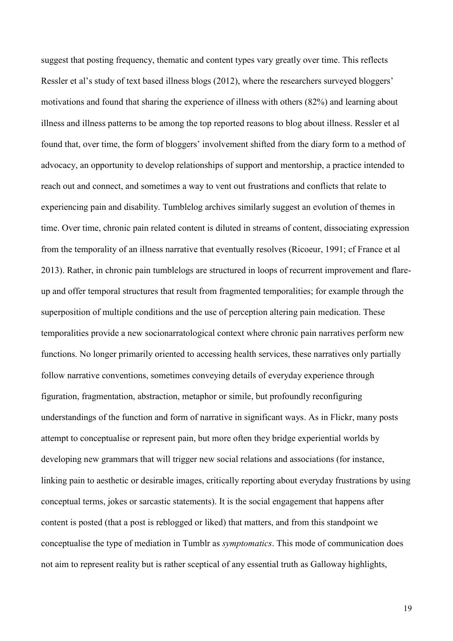suggest that posting frequency, thematic and content types vary greatly over time. This reflects Ressler et al's study of text based illness blogs (2012), where the researchers surveyed bloggers' motivations and found that sharing the experience of illness with others (82%) and learning about illness and illness patterns to be among the top reported reasons to blog about illness. Ressler et al found that, over time, the form of bloggers' involvement shifted from the diary form to a method of advocacy, an opportunity to develop relationships of support and mentorship, a practice intended to reach out and connect, and sometimes a way to vent out frustrations and conflicts that relate to experiencing pain and disability. Tumblelog archives similarly suggest an evolution of themes in time. Over time, chronic pain related content is diluted in streams of content, dissociating expression from the temporality of an illness narrative that eventually resolves (Ricoeur, 1991; cf France et al 2013). Rather, in chronic pain tumblelogs are structured in loops of recurrent improvement and flareup and offer temporal structures that result from fragmented temporalities; for example through the superposition of multiple conditions and the use of perception altering pain medication. These temporalities provide a new socionarratological context where chronic pain narratives perform new functions. No longer primarily oriented to accessing health services, these narratives only partially follow narrative conventions, sometimes conveying details of everyday experience through figuration, fragmentation, abstraction, metaphor or simile, but profoundly reconfiguring understandings of the function and form of narrative in significant ways. As in Flickr, many posts attempt to conceptualise or represent pain, but more often they bridge experiential worlds by developing new grammars that will trigger new social relations and associations (for instance, linking pain to aesthetic or desirable images, critically reporting about everyday frustrations by using conceptual terms, jokes or sarcastic statements). It is the social engagement that happens after content is posted (that a post is reblogged or liked) that matters, and from this standpoint we conceptualise the type of mediation in Tumblr as *symptomatics*. This mode of communication does not aim to represent reality but is rather sceptical of any essential truth as Galloway highlights,

19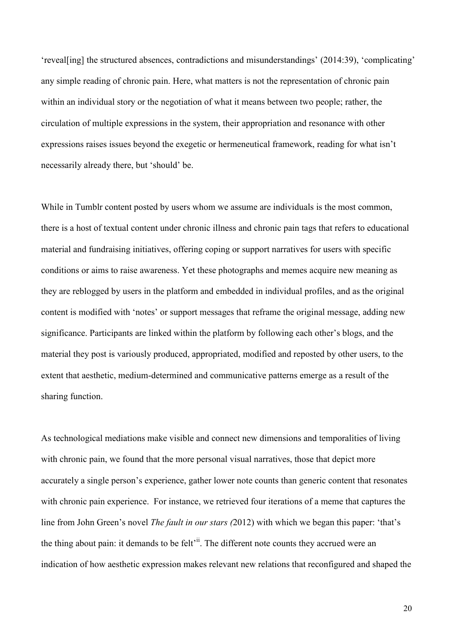'reveal[ing] the structured absences, contradictions and misunderstandings' (2014:39), 'complicating' any simple reading of chronic pain. Here, what matters is not the representation of chronic pain within an individual story or the negotiation of what it means between two people; rather, the circulation of multiple expressions in the system, their appropriation and resonance with other expressions raises issues beyond the exegetic or hermeneutical framework, reading for what isn't necessarily already there, but 'should' be.

While in Tumblr content posted by users whom we assume are individuals is the most common, there is a host of textual content under chronic illness and chronic pain tags that refers to educational material and fundraising initiatives, offering coping or support narratives for users with specific conditions or aims to raise awareness. Yet these photographs and memes acquire new meaning as they are reblogged by users in the platform and embedded in individual profiles, and as the original content is modified with 'notes' or support messages that reframe the original message, adding new significance. Participants are linked within the platform by following each other's blogs, and the material they post is variously produced, appropriated, modified and reposted by other users, to the extent that aesthetic, medium-determined and communicative patterns emerge as a result of the sharing function.

As technological mediations make visible and connect new dimensions and temporalities of living with chronic pain, we found that the more personal visual narratives, those that depict more accurately a single person's experience, gather lower note counts than generic content that resonates with chronic pain experience. For instance, we retrieved four iterations of a meme that captures the line from John Green's novel *The fault in our stars (*2012) with which we began this paper: 'that's the thing about pain: it demands to be felt<sup>'ii</sup>. The different note counts they accrued were an indication of how aesthetic expression makes relevant new relations that reconfigured and shaped the

20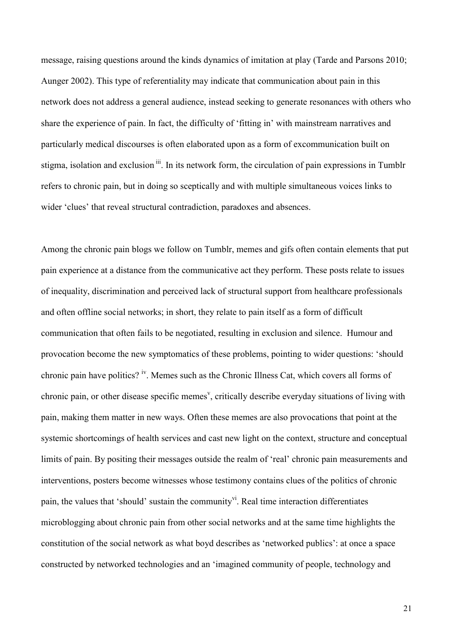message, raising questions around the kinds dynamics of imitation at play (Tarde and Parsons 2010; Aunger 2002). This type of referentiality may indicate that communication about pain in this network does not address a general audience, instead seeking to generate resonances with others who share the experience of pain. In fact, the difficulty of 'fitting in' with mainstream narratives and particularly medical discourses is often elaborated upon as a form of excommunication built on stigma, isolation and exclusion iii. In its network form, the circulation of pain expressions in Tumblr refers to chronic pain, but in doing so sceptically and with multiple simultaneous voices links to wider 'clues' that reveal structural contradiction, paradoxes and absences.

Among the chronic pain blogs we follow on Tumblr, memes and gifs often contain elements that put pain experience at a distance from the communicative act they perform. These posts relate to issues of inequality, discrimination and perceived lack of structural support from healthcare professionals and often offline social networks; in short, they relate to pain itself as a form of difficult communication that often fails to be negotiated, resulting in exclusion and silence. Humour and provocation become the new symptomatics of these problems, pointing to wider questions: 'should chronic pain have politics? <sup>iv</sup>. Memes such as the Chronic Illness Cat, which covers all forms of chronic pain, or other disease specific memes<sup>v</sup>, critically describe everyday situations of living with pain, making them matter in new ways. Often these memes are also provocations that point at the systemic shortcomings of health services and cast new light on the context, structure and conceptual limits of pain. By positing their messages outside the realm of 'real' chronic pain measurements and interventions, posters become witnesses whose testimony contains clues of the politics of chronic pain, the values that 'should' sustain the community<sup>vi</sup>. Real time interaction differentiates microblogging about chronic pain from other social networks and at the same time highlights the constitution of the social network as what boyd describes as 'networked publics': at once a space constructed by networked technologies and an 'imagined community of people, technology and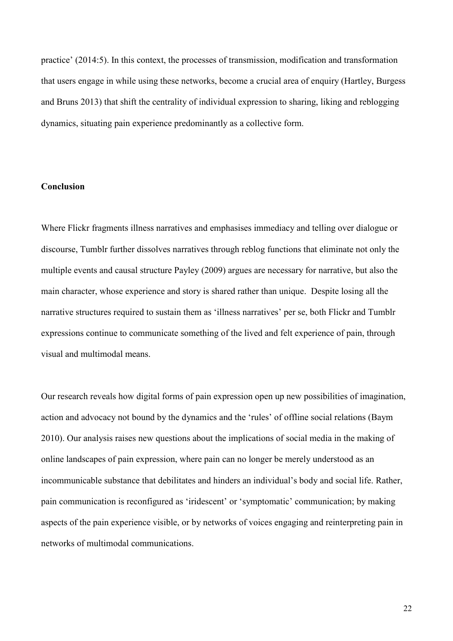practice' (2014:5). In this context, the processes of transmission, modification and transformation that users engage in while using these networks, become a crucial area of enquiry (Hartley, Burgess and Bruns 2013) that shift the centrality of individual expression to sharing, liking and reblogging dynamics, situating pain experience predominantly as a collective form.

#### **Conclusion**

Where Flickr fragments illness narratives and emphasises immediacy and telling over dialogue or discourse, Tumblr further dissolves narratives through reblog functions that eliminate not only the multiple events and causal structure Payley (2009) argues are necessary for narrative, but also the main character, whose experience and story is shared rather than unique. Despite losing all the narrative structures required to sustain them as 'illness narratives' per se, both Flickr and Tumblr expressions continue to communicate something of the lived and felt experience of pain, through visual and multimodal means.

Our research reveals how digital forms of pain expression open up new possibilities of imagination, action and advocacy not bound by the dynamics and the 'rules' of offline social relations (Baym 2010). Our analysis raises new questions about the implications of social media in the making of online landscapes of pain expression, where pain can no longer be merely understood as an incommunicable substance that debilitates and hinders an individual's body and social life. Rather, pain communication is reconfigured as 'iridescent' or 'symptomatic' communication; by making aspects of the pain experience visible, or by networks of voices engaging and reinterpreting pain in networks of multimodal communications.

22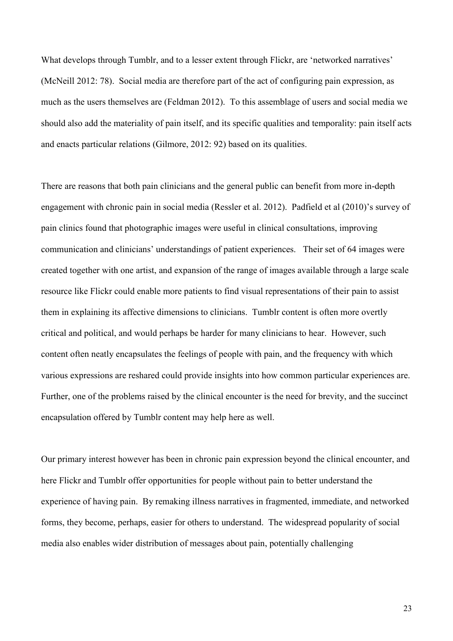What develops through Tumblr, and to a lesser extent through Flickr, are 'networked narratives' (McNeill 2012: 78). Social media are therefore part of the act of configuring pain expression, as much as the users themselves are (Feldman 2012). To this assemblage of users and social media we should also add the materiality of pain itself, and its specific qualities and temporality: pain itself acts and enacts particular relations (Gilmore, 2012: 92) based on its qualities.

There are reasons that both pain clinicians and the general public can benefit from more in-depth engagement with chronic pain in social media (Ressler et al. 2012). Padfield et al (2010)'s survey of pain clinics found that photographic images were useful in clinical consultations, improving communication and clinicians' understandings of patient experiences. Their set of 64 images were created together with one artist, and expansion of the range of images available through a large scale resource like Flickr could enable more patients to find visual representations of their pain to assist them in explaining its affective dimensions to clinicians. Tumblr content is often more overtly critical and political, and would perhaps be harder for many clinicians to hear. However, such content often neatly encapsulates the feelings of people with pain, and the frequency with which various expressions are reshared could provide insights into how common particular experiences are. Further, one of the problems raised by the clinical encounter is the need for brevity, and the succinct encapsulation offered by Tumblr content may help here as well.

Our primary interest however has been in chronic pain expression beyond the clinical encounter, and here Flickr and Tumblr offer opportunities for people without pain to better understand the experience of having pain. By remaking illness narratives in fragmented, immediate, and networked forms, they become, perhaps, easier for others to understand. The widespread popularity of social media also enables wider distribution of messages about pain, potentially challenging

23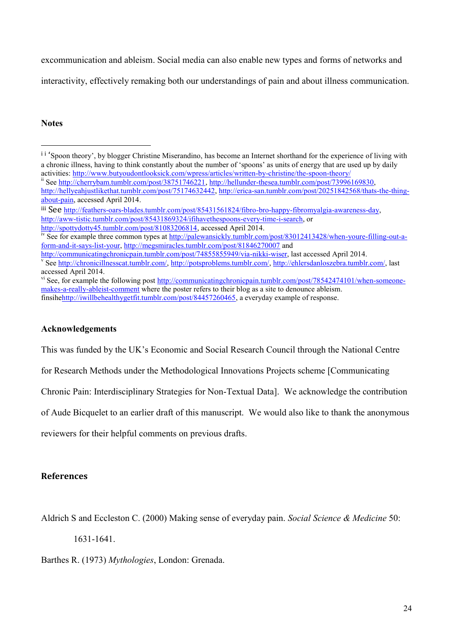excommunication and ableism. Social media can also enable new types and forms of networks and

interactivity, effectively remaking both our understandings of pain and about illness communication.

# **Notes**

 $\overline{a}$ 

## **Acknowledgements**

This was funded by the UK's Economic and Social Research Council through the National Centre

for Research Methods under the Methodological Innovations Projects scheme [Communicating

Chronic Pain: Interdisciplinary Strategies for Non-Textual Data]. We acknowledge the contribution

of Aude Bicquelet to an earlier draft of this manuscript. We would also like to thank the anonymous

reviewers for their helpful comments on previous drafts.

# **References**

Aldrich S and Eccleston C. (2000) Making sense of everyday pain. *Social Science & Medicine* 50:

1631-1641.

Barthes R. (1973) *Mythologies*, London: Grenada.

<sup>&</sup>lt;sup>i i</sup> 'Spoon theory', by blogger Christine Miserandino, has become an Internet shorthand for the experience of living with a chronic illness, having to think constantly about the number of 'spoons' as units of energy that are used up by daily activities:<http://www.butyoudontlooksick.com/wpress/articles/written-by-christine/the-spoon-theory/>

ii See [http://cherrybam.tumblr.com/post/38751746221,](http://cherrybam.tumblr.com/post/38751746221) [http://hellunder-thesea.tumblr.com/post/73996169830,](http://hellunder-thesea.tumblr.com/post/73996169830) [http://hellyeahjustlikethat.tumblr.com/post/75174632442,](http://hellyeahjustlikethat.tumblr.com/post/75174632442) [http://erica-san.tumblr.com/post/20251842568/thats-the-thing](http://erica-san.tumblr.com/post/20251842568/thats-the-thing-about-pain)[about-pain,](http://erica-san.tumblr.com/post/20251842568/thats-the-thing-about-pain) accessed April 2014.

iii See [http://feathers-oars-blades.tumblr.com/post/85431561824/fibro-bro-happy-fibromyalgia-awareness-day,](http://feathers-oars-blades.tumblr.com/post/85431561824/fibro-bro-happy-fibromyalgia-awareness-day) [http://aww-tistic.tumblr.com/post/85431869324/ifihavethespoons-every-time-i-search,](http://aww-tistic.tumblr.com/post/85431869324/ifihavethespoons-every-time-i-search) or

[http://spottydotty45.tumblr.com/post/81083206814,](http://spottydotty45.tumblr.com/post/81083206814) accessed April 2014.

<sup>&</sup>lt;sup>iv</sup> See for example three common types at [http://palewansickly.tumblr.com/post/83012413428/when-youre-filling-out-a](http://palewansickly.tumblr.com/post/83012413428/when-youre-filling-out-a-form-and-it-says-list-your)[form-and-it-says-list-your,](http://palewansickly.tumblr.com/post/83012413428/when-youre-filling-out-a-form-and-it-says-list-your)<http://megsmiracles.tumblr.com/post/81846270007> and

[http://communicatingchronicpain.tumblr.com/post/74855855949/via-nikki-wiser,](http://communicatingchronicpain.tumblr.com/post/74855855949/via-nikki-wiser) last accessed April 2014. v Se[e http://chronicillnesscat.tumblr.com/,](http://chronicillnesscat.tumblr.com/) [http://potsproblems.tumblr.com/,](http://potsproblems.tumblr.com/) [http://ehlersdanloszebra.tumblr.com/,](http://ehlersdanloszebra.tumblr.com/) last accessed April 2014.

 $v<sup>i</sup>$  See, for example the following post [http://communicatingchronicpain.tumblr.com/post/78542474101/when-someone](http://communicatingchronicpain.tumblr.com/post/78542474101/when-someone-makes-a-really-ableist-comment)[makes-a-really-ableist-comment](http://communicatingchronicpain.tumblr.com/post/78542474101/when-someone-makes-a-really-ableist-comment) where the poster refers to their blog as a site to denounce ableism. finsih[ehttp://iwillbehealthygetfit.tumblr.com/post/84457260465,](http://iwillbehealthygetfit.tumblr.com/post/84457260465) a everyday example of response.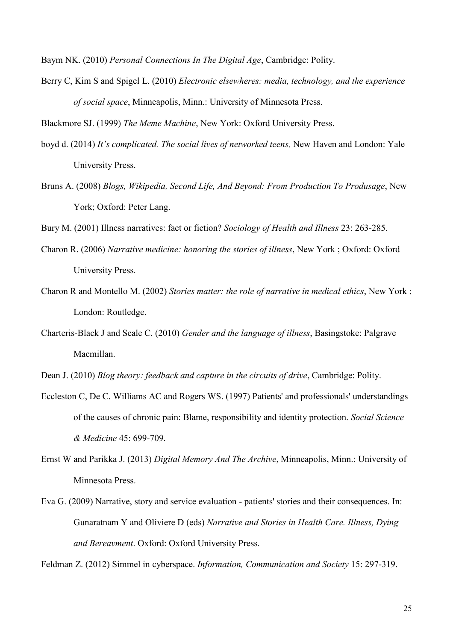Baym NK. (2010) *Personal Connections In The Digital Age*, Cambridge: Polity.

Berry C, Kim S and Spigel L. (2010) *Electronic elsewheres: media, technology, and the experience of social space*, Minneapolis, Minn.: University of Minnesota Press.

Blackmore SJ. (1999) *The Meme Machine*, New York: Oxford University Press.

- boyd d. (2014) *It's complicated. The social lives of networked teens,* New Haven and London: Yale University Press.
- Bruns A. (2008) *Blogs, Wikipedia, Second Life, And Beyond: From Production To Produsage*, New York; Oxford: Peter Lang.

Bury M. (2001) Illness narratives: fact or fiction? *Sociology of Health and Illness* 23: 263-285.

- Charon R. (2006) *Narrative medicine: honoring the stories of illness*, New York ; Oxford: Oxford University Press.
- Charon R and Montello M. (2002) *Stories matter: the role of narrative in medical ethics*, New York ; London: Routledge.
- Charteris-Black J and Seale C. (2010) *Gender and the language of illness*, Basingstoke: Palgrave Macmillan.

Dean J. (2010) *Blog theory: feedback and capture in the circuits of drive*, Cambridge: Polity.

- Eccleston C, De C. Williams AC and Rogers WS. (1997) Patients' and professionals' understandings of the causes of chronic pain: Blame, responsibility and identity protection. *Social Science & Medicine* 45: 699-709.
- Ernst W and Parikka J. (2013) *Digital Memory And The Archive*, Minneapolis, Minn.: University of Minnesota Press.
- Eva G. (2009) Narrative, story and service evaluation patients' stories and their consequences. In: Gunaratnam Y and Oliviere D (eds) *Narrative and Stories in Health Care. Illness, Dying and Bereavment*. Oxford: Oxford University Press.

Feldman Z. (2012) Simmel in cyberspace. *Information, Communication and Society* 15: 297-319.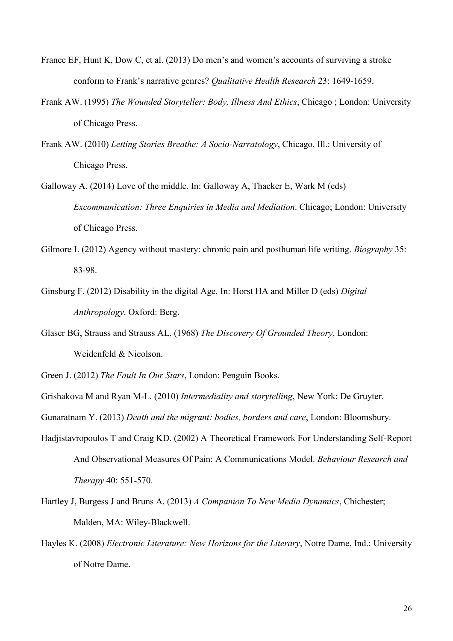- France EF, Hunt K, Dow C, et al. (2013) Do men's and women's accounts of surviving a stroke conform to Frank's narrative genres? *Qualitative Health Research* 23: 1649-1659.
- Frank AW. (1995) *The Wounded Storyteller: Body, Illness And Ethics*, Chicago ; London: University of Chicago Press.
- Frank AW. (2010) *Letting Stories Breathe: A Socio-Narratology*, Chicago, Ill.: University of Chicago Press.
- Galloway A. (2014) Love of the middle. In: Galloway A, Thacker E, Wark M (eds) *Excommunication: Three Enquiries in Media and Mediation*. Chicago; London: University of Chicago Press.
- Gilmore L (2012) Agency without mastery: chronic pain and posthuman life writing. *Biography* 35: 83-98.
- Ginsburg F. (2012) Disability in the digital Age. In: Horst HA and Miller D (eds) *Digital Anthropology*. Oxford: Berg.
- Glaser BG, Strauss and Strauss AL. (1968) *The Discovery Of Grounded Theory*. London: Weidenfeld & Nicolson.
- Green J. (2012) *The Fault In Our Stars*, London: Penguin Books.
- Grishakova M and Ryan M-L. (2010) *Intermediality and storytelling*, New York: De Gruyter.
- Gunaratnam Y. (2013) *Death and the migrant: bodies, borders and care*, London: Bloomsbury.
- Hadjistavropoulos T and Craig KD. (2002) A Theoretical Framework For Understanding Self-Report And Observational Measures Of Pain: A Communications Model. *Behaviour Research and Therapy* 40: 551-570.
- Hartley J, Burgess J and Bruns A. (2013) *A Companion To New Media Dynamics*, Chichester; Malden, MA: Wiley-Blackwell.
- Hayles K. (2008) *Electronic Literature: New Horizons for the Literary*, Notre Dame, Ind.: University of Notre Dame.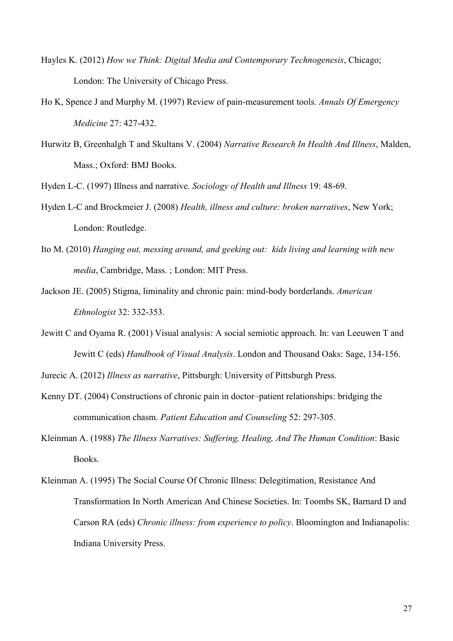- Hayles K. (2012) *How we Think: Digital Media and Contemporary Technogenesis*, Chicago; London: The University of Chicago Press.
- Ho K, Spence J and Murphy M. (1997) Review of pain-measurement tools. *Annals Of Emergency Medicine* 27: 427-432.
- Hurwitz B, Greenhalgh T and Skultans V. (2004) *Narrative Research In Health And Illness*, Malden, Mass.; Oxford: BMJ Books.

Hyden L-C. (1997) Illness and narrative. *Sociology of Health and Illness* 19: 48-69.

- Hyden L-C and Brockmeier J. (2008) *Health, illness and culture: broken narratives*, New York; London: Routledge.
- Ito M. (2010) *Hanging out, messing around, and geeking out: kids living and learning with new media*, Cambridge, Mass. ; London: MIT Press.
- Jackson JE. (2005) Stigma, liminality and chronic pain: mind-body borderlands. *American Ethnologist* 32: 332-353.
- Jewitt C and Oyama R. (2001) Visual analysis: A social semiotic approach. In: van Leeuwen T and Jewitt C (eds) *Handbook of Visual Analysis*. London and Thousand Oaks: Sage, 134-156.
- Jurecic A. (2012) *Illness as narrative*, Pittsburgh: University of Pittsburgh Press.
- Kenny DT. (2004) Constructions of chronic pain in doctor–patient relationships: bridging the communication chasm. *Patient Education and Counseling* 52: 297-305.
- Kleinman A. (1988) *The Illness Narratives: Suffering, Healing, And The Human Condition*: Basic Books.
- Kleinman A. (1995) The Social Course Of Chronic Illness: Delegitimation, Resistance And Transformation In North American And Chinese Societies. In: Toombs SK, Barnard D and Carson RA (eds) *Chronic illness: from experience to policy*. Bloomington and Indianapolis: Indiana University Press.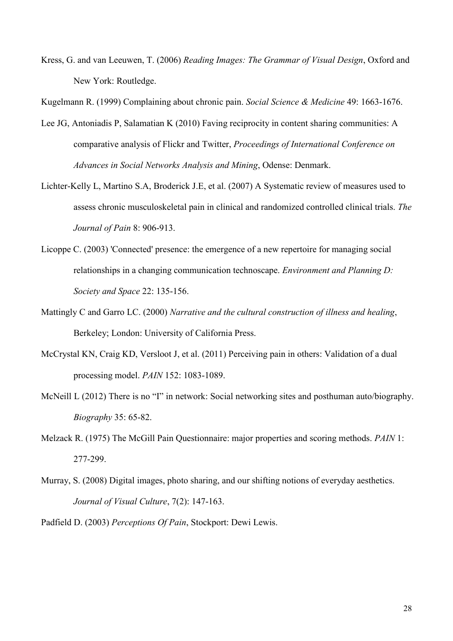Kress, G. and van Leeuwen, T. (2006) *Reading Images: The Grammar of Visual Design*, Oxford and New York: Routledge.

Kugelmann R. (1999) Complaining about chronic pain. *Social Science & Medicine* 49: 1663-1676.

- Lee JG, Antoniadis P, Salamatian K (2010) Faving reciprocity in content sharing communities: A comparative analysis of Flickr and Twitter, *Proceedings of International Conference on Advances in Social Networks Analysis and Mining*, Odense: Denmark.
- Lichter-Kelly L, Martino S.A, Broderick J.E, et al. (2007) A Systematic review of measures used to assess chronic musculoskeletal pain in clinical and randomized controlled clinical trials. *The Journal of Pain* 8: 906-913.
- Licoppe C. (2003) 'Connected' presence: the emergence of a new repertoire for managing social relationships in a changing communication technoscape. *Environment and Planning D: Society and Space* 22: 135-156.
- Mattingly C and Garro LC. (2000) *Narrative and the cultural construction of illness and healing*, Berkeley; London: University of California Press.
- McCrystal KN, Craig KD, Versloot J, et al. (2011) Perceiving pain in others: Validation of a dual processing model. *PAIN* 152: 1083-1089.
- McNeill L (2012) There is no "I" in network: Social networking sites and posthuman auto/biography. *Biography* 35: 65-82.
- Melzack R. (1975) The McGill Pain Questionnaire: major properties and scoring methods. *PAIN* 1: 277-299.
- Murray, S. (2008) Digital images, photo sharing, and our shifting notions of everyday aesthetics. *Journal of Visual Culture*, 7(2): 147-163.

Padfield D. (2003) *Perceptions Of Pain*, Stockport: Dewi Lewis.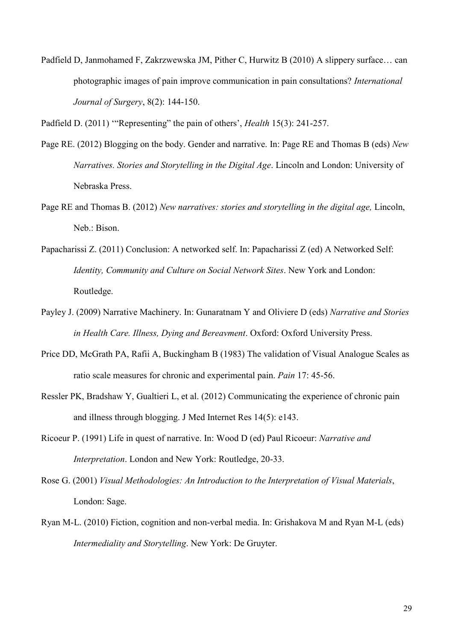Padfield D, Janmohamed F, Zakrzwewska JM, Pither C, Hurwitz B (2010) A slippery surface… can photographic images of pain improve communication in pain consultations? *International Journal of Surgery*, 8(2): 144-150.

Padfield D. (2011) '"Representing" the pain of others', *Health* 15(3): 241-257.

- Page RE. (2012) Blogging on the body. Gender and narrative. In: Page RE and Thomas B (eds) *New Narratives. Stories and Storytelling in the Digital Age*. Lincoln and London: University of Nebraska Press.
- Page RE and Thomas B. (2012) *New narratives: stories and storytelling in the digital age,* Lincoln, Neb.: Bison.
- Papacharissi Z. (2011) Conclusion: A networked self. In: Papacharissi Z (ed) A Networked Self: *Identity, Community and Culture on Social Network Sites*. New York and London: Routledge.
- Payley J. (2009) Narrative Machinery. In: Gunaratnam Y and Oliviere D (eds) *Narrative and Stories in Health Care. Illness, Dying and Bereavment*. Oxford: Oxford University Press.
- Price DD, McGrath PA, Rafii A, Buckingham B (1983) The validation of Visual Analogue Scales as ratio scale measures for chronic and experimental pain. *Pain* 17: 45-56.
- Ressler PK, Bradshaw Y, Gualtieri L, et al. (2012) Communicating the experience of chronic pain and illness through blogging. J Med Internet Res 14(5): e143.
- Ricoeur P. (1991) Life in quest of narrative. In: Wood D (ed) Paul Ricoeur: *Narrative and Interpretation*. London and New York: Routledge, 20-33.
- Rose G. (2001) *Visual Methodologies: An Introduction to the Interpretation of Visual Materials*, London: Sage.
- Ryan M-L. (2010) Fiction, cognition and non-verbal media. In: Grishakova M and Ryan M-L (eds) *Intermediality and Storytelling*. New York: De Gruyter.